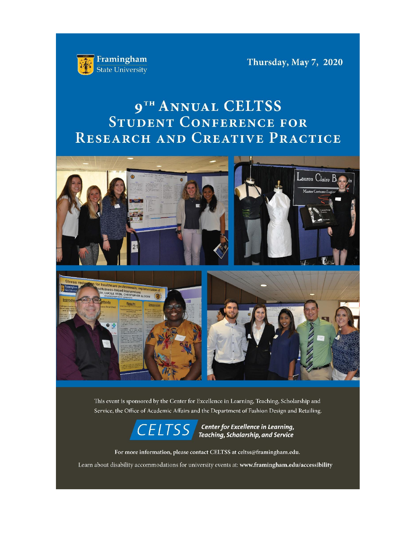

Thursday, May 7, 2020

# 9TH ANNUAL CELTSS STUDENT CONFERENCE FOR RESEARCH AND CREATIVE PRACTICE





This event is sponsored by the Center for Excellence in Learning, Teaching, Scholarship and Service, the Office of Academic Affairs and the Department of Fashion Design and Retailing.



 $\boxed{\mathsf{CELTSS}}$  Center for Excellence in Learning,<br>Teaching, Scholarship, and Service

For more information, please contact CELTSS at celtss@framingham.edu.

Learn about disability accommodations for university events at: www.framingham.edu/accessibility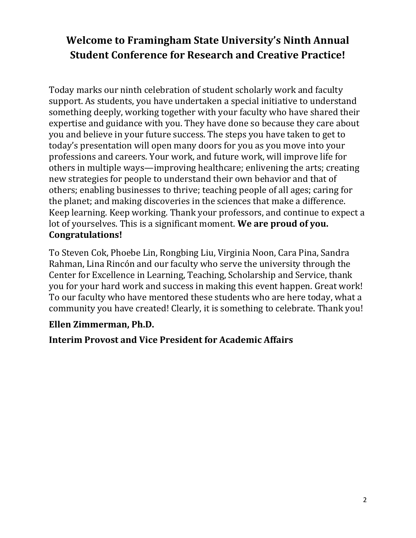# **Welcome to Framingham State University's Ninth Annual Student Conference for Research and Creative Practice!**

Today marks our ninth celebration of student scholarly work and faculty support. As students, you have undertaken a special initiative to understand something deeply, working together with your faculty who have shared their expertise and guidance with you. They have done so because they care about you and believe in your future success. The steps you have taken to get to today's presentation will open many doors for you as you move into your professions and careers. Your work, and future work, will improve life for others in multiple ways—improving healthcare; enlivening the arts; creating new strategies for people to understand their own behavior and that of others; enabling businesses to thrive; teaching people of all ages; caring for the planet; and making discoveries in the sciences that make a difference. Keep learning. Keep working. Thank your professors, and continue to expect a lot of yourselves. This is a significant moment. **We are proud of you. Congratulations!** 

To Steven Cok, Phoebe Lin, Rongbing Liu, Virginia Noon, Cara Pina, Sandra Rahman, Lina Rincón and our faculty who serve the university through the Center for Excellence in Learning, Teaching, Scholarship and Service, thank you for your hard work and success in making this event happen. Great work! To our faculty who have mentored these students who are here today, what a community you have created! Clearly, it is something to celebrate. Thank you!

# **Ellen Zimmerman, Ph.D.**

# **Interim Provost and Vice President for Academic Affairs**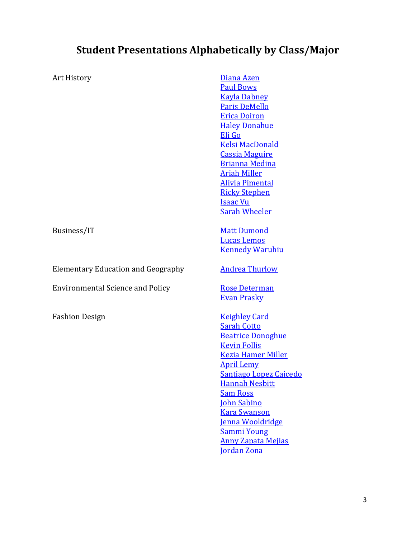# **Student Presentations Alphabetically by Class/Major**

| Art History                               | Diana Azen<br><b>Paul Bows</b><br><b>Kayla Dabney</b><br><b>Paris DeMello</b><br><b>Erica Doiron</b><br><b>Haley Donahue</b><br>Eli Go<br><b>Kelsi MacDonald</b><br><b>Cassia Maguire</b><br><b>Brianna Medina</b><br><b>Ariah Miller</b><br><b>Alivia Pimental</b><br><b>Ricky Stephen</b><br><b>Isaac Vu</b><br><b>Sarah Wheeler</b>                          |
|-------------------------------------------|-----------------------------------------------------------------------------------------------------------------------------------------------------------------------------------------------------------------------------------------------------------------------------------------------------------------------------------------------------------------|
| Business/IT                               | <b>Matt Dumond</b><br><b>Lucas Lemos</b><br><b>Kennedy Waruhiu</b>                                                                                                                                                                                                                                                                                              |
| <b>Elementary Education and Geography</b> | <b>Andrea Thurlow</b>                                                                                                                                                                                                                                                                                                                                           |
| <b>Environmental Science and Policy</b>   | <b>Rose Determan</b><br><b>Evan Prasky</b>                                                                                                                                                                                                                                                                                                                      |
| <b>Fashion Design</b>                     | <b>Keighley Card</b><br><b>Sarah Cotto</b><br><b>Beatrice Donoghue</b><br><b>Kevin Follis</b><br><b>Kezia Hamer Miller</b><br><b>April Lemy</b><br>Santiago Lopez Caicedo<br><b>Hannah Nesbitt</b><br><b>Sam Ross</b><br><b>John Sabino</b><br><b>Kara Swanson</b><br>Jenna Wooldridge<br><b>Sammi Young</b><br><b>Anny Zapata Mejias</b><br><b>Jordan Zona</b> |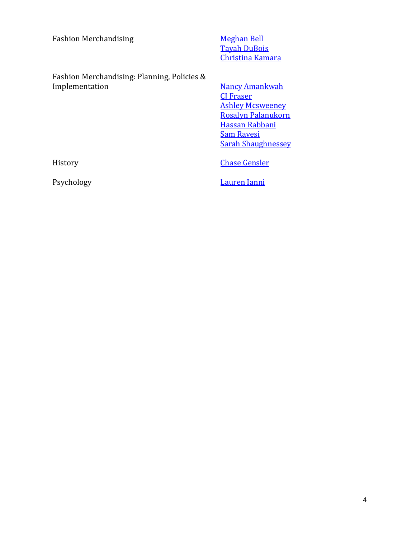| <b>Fashion Merchandising</b> |  |  |
|------------------------------|--|--|
|                              |  |  |

**[Meghan Bell](#page-10-0)** [Tayah DuBois](#page-11-0) [Christina Kamara](#page-11-1)

Fashion Merchandising: Planning, Policies &

**[Nancy Amankwah](#page-10-1)** [CJ Fraser](#page-10-2) **[Ashley Mcsweeney](#page-10-3)** [Rosalyn Palanukorn](#page-10-4) [Hassan Rabbani](#page-10-5) [Sam Ravesi](#page-10-6) [Sarah Shaughnessey](#page-10-0)

History **[Chase Gensler](#page-12-0)** 

Psychology [Lauren Ianni](#page-12-1)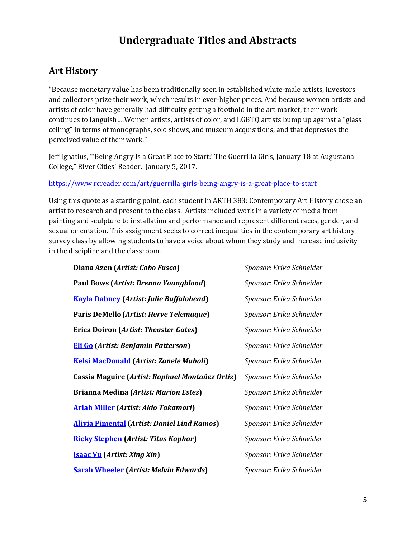# **Undergraduate Titles and Abstracts**

# **Art History**

"Because monetary value has been traditionally seen in established white-male artists, investors and collectors prize their work, which results in ever-higher prices. And because women artists and artists of color have generally had difficulty getting a foothold in the art market, their work continues to languish….Women artists, artists of color, and LGBTQ artists bump up against a "glass ceiling" in terms of monographs, solo shows, and museum acquisitions, and that depresses the perceived value of their work."

Jeff Ignatius, "'Being Angry Is a Great Place to Start:' The Guerrilla Girls, January 18 at Augustana College," River Cities' Reader. January 5, 2017.

### <https://www.rcreader.com/art/guerrilla-girls-being-angry-is-a-great-place-to-start>

Using this quote as a starting point, each student in ARTH 383: Contemporary Art History chose an artist to research and present to the class. Artists included work in a variety of media from painting and sculpture to installation and performance and represent different races, gender, and sexual orientation. This assignment seeks to correct inequalities in the contemporary art history survey class by allowing students to have a voice about whom they study and increase inclusivity in the discipline and the classroom.

<span id="page-4-12"></span><span id="page-4-11"></span><span id="page-4-10"></span><span id="page-4-9"></span><span id="page-4-8"></span><span id="page-4-7"></span><span id="page-4-6"></span><span id="page-4-5"></span><span id="page-4-4"></span><span id="page-4-3"></span><span id="page-4-2"></span><span id="page-4-1"></span><span id="page-4-0"></span>

| Diana Azen (Artist: Cobo Fusco)                    | Sponsor: Erika Schneider |
|----------------------------------------------------|--------------------------|
| Paul Bows (Artist: Brenna Youngblood)              | Sponsor: Erika Schneider |
| <b>Kayla Dabney</b> (Artist: Julie Buffalohead)    | Sponsor: Erika Schneider |
| Paris DeMello (Artist: Herve Telemaque)            | Sponsor: Erika Schneider |
| Erica Doiron (Artist: Theaster Gates)              | Sponsor: Erika Schneider |
| <b>Eli Go</b> (Artist: Benjamin Patterson)         | Sponsor: Erika Schneider |
| <b>Kelsi MacDonald (Artist: Zanele Muholi)</b>     | Sponsor: Erika Schneider |
| Cassia Maguire (Artist: Raphael Montañez Ortiz)    | Sponsor: Erika Schneider |
| <b>Brianna Medina (Artist: Marion Estes)</b>       | Sponsor: Erika Schneider |
| <b>Ariah Miller</b> (Artist: Akio Takamori)        | Sponsor: Erika Schneider |
| <b>Alivia Pimental (Artist: Daniel Lind Ramos)</b> | Sponsor: Erika Schneider |
| <b>Ricky Stephen</b> (Artist: Titus Kaphar)        | Sponsor: Erika Schneider |
| <b>Isaac Vu</b> (Artist: Xing Xin)                 | Sponsor: Erika Schneider |
| <b>Sarah Wheeler</b> (Artist: Melvin Edwards)      | Sponsor: Erika Schneider |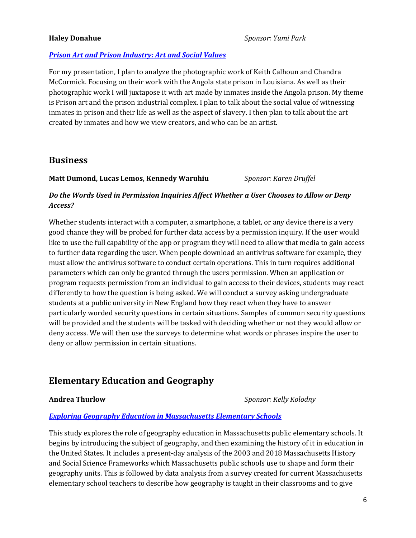### <span id="page-5-0"></span>**Haley Donahue** *Sponsor: Yumi Park*

### *[Prison Art and Prison Industry: Art and Social Values](https://framingham.hosted.panopto.com/Panopto/Pages/Viewer.aspx?id=b2e4d685-6955-4779-91d4-abb20103e579)*

For my presentation, I plan to analyze the photographic work of Keith Calhoun and Chandra McCormick. Focusing on their work with the Angola state prison in Louisiana. As well as their photographic work I will juxtapose it with art made by inmates inside the Angola prison. My theme is Prison art and the prison industrial complex. I plan to talk about the social value of witnessing inmates in prison and their life as well as the aspect of slavery. I then plan to talk about the art created by inmates and how we view creators, and who can be an artist.

### **Business**

### <span id="page-5-3"></span><span id="page-5-2"></span><span id="page-5-1"></span>**Matt Dumond, Lucas Lemos, Kennedy Waruhiu** *Sponsor: Karen Druffel*

### *Do the Words Used in Permission Inquiries Affect Whether a User Chooses to Allow or Deny Access?*

Whether students interact with a computer, a smartphone, a tablet, or any device there is a very good chance they will be probed for further data access by a permission inquiry. If the user would like to use the full capability of the app or program they will need to allow that media to gain access to further data regarding the user. When people download an antivirus software for example, they must allow the antivirus software to conduct certain operations. This in turn requires additional parameters which can only be granted through the users permission. When an application or program requests permission from an individual to gain access to their devices, students may react differently to how the question is being asked. We will conduct a survey asking undergraduate students at a public university in New England how they react when they have to answer particularly worded security questions in certain situations. Samples of common security questions will be provided and the students will be tasked with deciding whether or not they would allow or deny access. We will then use the surveys to determine what words or phrases inspire the user to deny or allow permission in certain situations.

## **Elementary Education and Geography**

<span id="page-5-4"></span>**Andrea Thurlow** *Sponsor: Kelly Kolodny*

### *[Exploring Geography Education in Massachusetts Elementary Schools](https://www.framingham.edu/Assets/uploads/the-fsu-difference/centers-and-institutes/celtss/_documents/thurlow_honorsresearchposter.pdf)*

This study explores the role of geography education in Massachusetts public elementary schools. It begins by introducing the subject of geography, and then examining the history of it in education in the United States. It includes a present-day analysis of the 2003 and 2018 Massachusetts History and Social Science Frameworks which Massachusetts public schools use to shape and form their geography units. This is followed by data analysis from a survey created for current Massachusetts elementary school teachers to describe how geography is taught in their classrooms and to give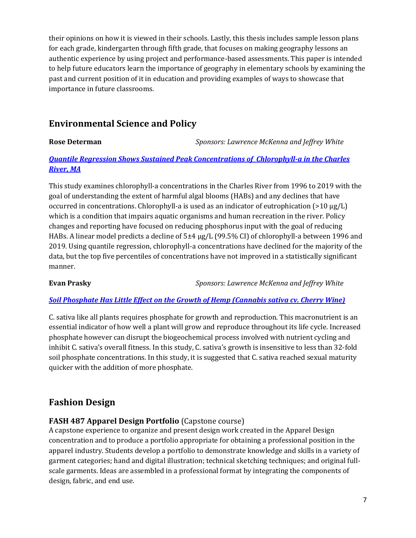their opinions on how it is viewed in their schools. Lastly, this thesis includes sample lesson plans for each grade, kindergarten through fifth grade, that focuses on making geography lessons an authentic experience by using project and performance-based assessments. This paper is intended to help future educators learn the importance of geography in elementary schools by examining the past and current position of it in education and providing examples of ways to showcase that importance in future classrooms.

# **Environmental Science and Policy**

<span id="page-6-0"></span>**Rose Determan** *Sponsors: Lawrence McKenna and Jeffrey White*

### *[Quantile Regression Shows Sustained Peak Concentrations of Chlorophyll-a in the Charles](https://www.framingham.edu/Assets/uploads/the-fsu-difference/centers-and-institutes/celtss/_documents/determan_poster.pdf)  [River, MA](https://www.framingham.edu/Assets/uploads/the-fsu-difference/centers-and-institutes/celtss/_documents/determan_poster.pdf)*

This study examines chlorophyll-a concentrations in the Charles River from 1996 to 2019 with the goal of understanding the extent of harmful algal blooms (HABs) and any declines that have occurred in concentrations. Chlorophyll-a is used as an indicator of eutrophication (>10 μg/L) which is a condition that impairs aquatic organisms and human recreation in the river. Policy changes and reporting have focused on reducing phosphorus input with the goal of reducing HABs. A linear model predicts a decline of 5±4 μg/L (99.5% CI) of chlorophyll-a between 1996 and 2019. Using quantile regression, chlorophyll-a concentrations have declined for the majority of the data, but the top five percentiles of concentrations have not improved in a statistically significant manner.

<span id="page-6-1"></span>**Evan Prasky** *Sponsors: Lawrence McKenna and Jeffrey White*

### *[Soil Phosphate Has Little Effect on the Growth of Hemp \(Cannabis sativa cv. Cherry Wine\)](https://www.framingham.edu/Assets/uploads/the-fsu-difference/centers-and-institutes/celtss/_documents/prasky.pdf)*

C. sativa like all plants requires phosphate for growth and reproduction. This macronutrient is an essential indicator of how well a plant will grow and reproduce throughout its life cycle. Increased phosphate however can disrupt the biogeochemical process involved with nutrient cycling and inhibit C. sativa's overall fitness. In this study, C. sativa's growth is insensitive to less than 32-fold soil phosphate concentrations. In this study, it is suggested that C. sativa reached sexual maturity quicker with the addition of more phosphate.

## **Fashion Design**

### **FASH 487 Apparel Design Portfolio** (Capstone course)

A capstone experience to organize and present design work created in the Apparel Design concentration and to produce a portfolio appropriate for obtaining a professional position in the apparel industry. Students develop a portfolio to demonstrate knowledge and skills in a variety of garment categories; hand and digital illustration; technical sketching techniques; and original fullscale garments. Ideas are assembled in a professional format by integrating the components of design, fabric, and end use.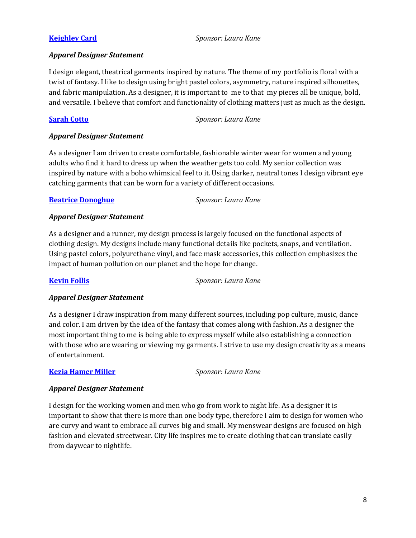<span id="page-7-0"></span>**[Keighley Card](https://drive.google.com/open?id=1lZmlOou5RviHYG7xoQNJVJSqqcvMgnh4)** *Sponsor: Laura Kane*

### *Apparel Designer Statement*

I design elegant, theatrical garments inspired by nature. The theme of my portfolio is floral with a twist of fantasy. I like to design using bright pastel colors, asymmetry, nature inspired silhouettes, and fabric manipulation. As a designer, it is important to me to that my pieces all be unique, bold, and versatile. I believe that comfort and functionality of clothing matters just as much as the design.

<span id="page-7-1"></span>**[Sarah Cotto](https://drive.google.com/open?id=1H6IKgMZheiRNbapKHYrH4iq-TaAxrtgT)** *Sponsor: Laura Kane*

### *Apparel Designer Statement*

As a designer I am driven to create comfortable, fashionable winter wear for women and young adults who find it hard to dress up when the weather gets too cold. My senior collection was inspired by nature with a boho whimsical feel to it. Using darker, neutral tones I design vibrant eye catching garments that can be worn for a variety of different occasions.

### <span id="page-7-2"></span>**[Beatrice Donoghue](https://drive.google.com/open?id=13JBFtAPybBF_fFSxHriSHXxBfGGhauY8)** *Sponsor: Laura Kane*

### *Apparel Designer Statement*

As a designer and a runner, my design process is largely focused on the functional aspects of clothing design. My designs include many functional details like pockets, snaps, and ventilation. Using pastel colors, polyurethane vinyl, and face mask accessories, this collection emphasizes the impact of human pollution on our planet and the hope for change.

<span id="page-7-3"></span>**[Kevin Follis](https://drive.google.com/open?id=1RX82h5u7YgD8WaJz7fK2EAyuK1YAiZ0m)** *Sponsor: Laura Kane*

### *Apparel Designer Statement*

As a designer I draw inspiration from many different sources, including pop culture, music, dance and color. I am driven by the idea of the fantasy that comes along with fashion. As a designer the most important thing to me is being able to express myself while also establishing a connection with those who are wearing or viewing my garments. I strive to use my design creativity as a means of entertainment.

### <span id="page-7-4"></span>**[Kezia Hamer Miller](https://drive.google.com/open?id=10O72sJU6SwybbGUSMImBcld317sMKKrG)** *Sponsor: Laura Kane*

### *Apparel Designer Statement*

<span id="page-7-5"></span>I design for the working women and men who go from work to night life. As a designer it is important to show that there is more than one body type, therefore I aim to design for women who are curvy and want to embrace all curves big and small. My menswear designs are focused on high fashion and elevated streetwear. City life inspires me to create clothing that can translate easily from daywear to nightlife.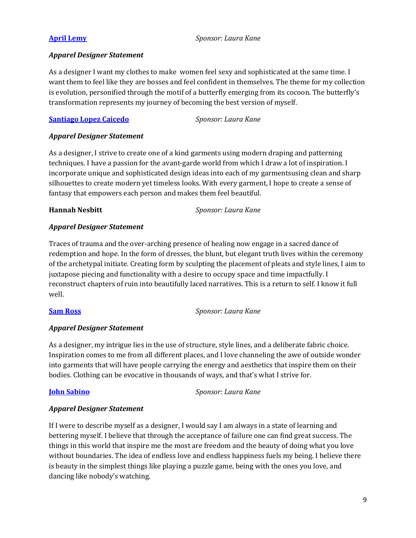**[April Lemy](https://drive.google.com/open?id=1mV4IRhVV1YFQ76bkB0sr10HDR1RswqSY)** *Sponsor: Laura Kane*

### *Apparel Designer Statement*

As a designer I want my clothes to make women feel sexy and sophisticated at the same time. I want them to feel like they are bosses and feel confident in themselves. The theme for my collection is evolution, personified through the motif of a butterfly emerging from its cocoon. The butterfly's transformation represents my journey of becoming the best version of myself.

### <span id="page-8-0"></span>**[Santiago Lopez](https://drive.google.com/open?id=1cBHNKRbLGTnTuyPxzJ_idGE5CPl4HrBk) Caicedo** *Sponsor: Laura Kane*

### *Apparel Designer Statement*

As a designer, I strive to create one of a kind garments using modern draping and patterning techniques. I have a passion for the avant-garde world from which I draw a lot of inspiration. I incorporate unique and sophisticated design ideas into each of my garmentsusing clean and sharp silhouettes to create modern yet timeless looks. With every garment, I hope to create a sense of fantasy that empowers each person and makes them feel beautiful.

<span id="page-8-1"></span>**Hannah Nesbitt** *Sponsor: Laura Kane*

### *Apparel Designer Statement*

Traces of trauma and the over-arching presence of healing now engage in a sacred dance of redemption and hope. In the form of dresses, the blunt, but elegant truth lives within the ceremony of the archetypal initiate. Creating form by sculpting the placement of pleats and style lines, I aim to juxtapose piecing and functionality with a desire to occupy space and time impactfully. I reconstruct chapters of ruin into beautifully laced narratives. This is a return to self. I know it full well.

<span id="page-8-2"></span>**[Sam Ross](https://drive.google.com/open?id=1PDJgRAn-nY9Pj5kqApR0hJE2k7bJ-8HH)** *Sponsor: Laura Kane*

### *Apparel Designer Statement*

As a designer, my intrigue lies in the use of structure, style lines, and a deliberate fabric choice. Inspiration comes to me from all different places, and I love channeling the awe of outside wonder into garments that will have people carrying the energy and aesthetics that inspire them on their bodies. Clothing can be evocative in thousands of ways, and that's what I strive for.

<span id="page-8-3"></span>**[John Sabino](https://drive.google.com/open?id=1-NqNChwWH2zWmOHGPgHcYEyATE31Cg29)** *Sponsor: Laura Kane*

### *Apparel Designer Statement*

If I were to describe myself as a designer, I would say I am always in a state of learning and bettering myself. I believe that through the acceptance of failure one can find great success. The things in this world that inspire me the most are freedom and the beauty of doing what you love without boundaries. The idea of endless love and endless happiness fuels my being. I believe there is beauty in the simplest things like playing a puzzle game, being with the ones you love, and dancing like nobody's watching.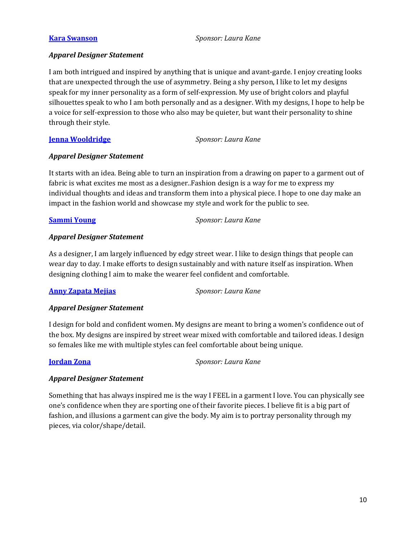<span id="page-9-0"></span>**[Kara Swanson](https://drive.google.com/open?id=1jQDHJtjJhY7K_v4Np8JyWiIIRWNu11UU)** *Sponsor: Laura Kane*

### *Apparel Designer Statement*

I am both intrigued and inspired by anything that is unique and avant-garde. I enjoy creating looks that are unexpected through the use of asymmetry. Being a shy person, I like to let my designs speak for my inner personality as a form of self-expression. My use of bright colors and playful silhouettes speak to who I am both personally and as a designer. With my designs, I hope to help be a voice for self-expression to those who also may be quieter, but want their personality to shine through their style.

### <span id="page-9-1"></span>**[Jenna Wooldridge](https://drive.google.com/open?id=1EUZDE9q6x6VsjOvSpJouFlavtCGqchef)** *Sponsor: Laura Kane*

### *Apparel Designer Statement*

It starts with an idea. Being able to turn an inspiration from a drawing on paper to a garment out of fabric is what excites me most as a designer..Fashion design is a way for me to express my individual thoughts and ideas and transform them into a physical piece. I hope to one day make an impact in the fashion world and showcase my style and work for the public to see.

<span id="page-9-2"></span>**[Sammi Young](https://drive.google.com/open?id=1_lrjRxQEmDvYQY_1Ko0ssnv6aLwBs-Wt)** *Sponsor: Laura Kane*

### *Apparel Designer Statement*

As a designer, I am largely influenced by edgy street wear. I like to design things that people can wear day to day. I make efforts to design sustainably and with nature itself as inspiration. When designing clothing I aim to make the wearer feel confident and comfortable.

### <span id="page-9-3"></span>**[Anny Zapata Mejias](https://drive.google.com/open?id=1SIvdvkqGc0uO_HOiECAoIr2RMcz6t78-)** *Sponsor: Laura Kane*

### *Apparel Designer Statement*

I design for bold and confident women. My designs are meant to bring a women's confidence out of the box. My designs are inspired by street wear mixed with comfortable and tailored ideas. I design so females like me with multiple styles can feel comfortable about being unique.

<span id="page-9-4"></span>**[Jordan Zona](https://drive.google.com/open?id=1UpAo_-s-o2tK7PPVmSIO7FXYJtTCck7g)** *Sponsor: Laura Kane*

### *Apparel Designer Statement*

Something that has always inspired me is the way I FEEL in a garment I love. You can physically see one's confidence when they are sporting one of their favorite pieces. I believe fit is a big part of fashion, and illusions a garment can give the body. My aim is to portray personality through my pieces, via color/shape/detail.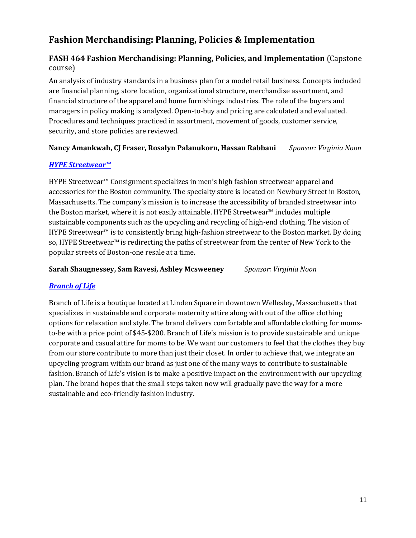# **Fashion Merchandising: Planning, Policies & Implementation**

### **FASH 464 Fashion Merchandising: Planning, Policies, and Implementation** (Capstone course)

An analysis of industry standards in a business plan for a model retail business. Concepts included are financial planning, store location, organizational structure, merchandise assortment, and financial structure of the apparel and home furnishings industries. The role of the buyers and managers in policy making is analyzed. Open-to-buy and pricing are calculated and evaluated. Procedures and techniques practiced in assortment, movement of goods, customer service, security, and store policies are reviewed.

### <span id="page-10-4"></span><span id="page-10-2"></span><span id="page-10-1"></span>**Nancy Amankwah, CJ Fraser, Rosalyn Palanukorn, Hassan Rabbani** *Sponsor: Virginia Noon*

### *[HYPE Streetwear](https://framingham.hosted.panopto.com/Panopto/Pages/Viewer.aspx?id=2b62b20c-e06c-43d1-b5b1-abae00dfbfe6)™*

HYPE Streetwear™ Consignment specializes in men's high fashion streetwear apparel and accessories for the Boston community. The specialty store is located on Newbury Street in Boston, Massachusetts. The company's mission is to increase the accessibility of branded streetwear into the Boston market, where it is not easily attainable. HYPE Streetwear™ includes multiple sustainable components such as the upcycling and recycling of high-end clothing. The vision of HYPE Streetwear™ is to consistently bring high-fashion streetwear to the Boston market. By doing so, HYPE Streetwear™ is redirecting the paths of streetwear from the center of New York to the popular streets of Boston-one resale at a time.

<span id="page-10-6"></span><span id="page-10-0"></span>**Sarah Shaugnessey, Sam Ravesi, Ashley Mcsweeney** *Sponsor: Virginia Noon*

<span id="page-10-5"></span><span id="page-10-3"></span>

### *[Branch of Life](https://framingham.hosted.panopto.com/Panopto/Pages/Viewer.aspx?id=37e5446f-8e51-4cde-ab0b-abae00dfc076)*

Branch of Life is a boutique located at Linden Square in downtown Wellesley, Massachusetts that specializes in sustainable and corporate maternity attire along with out of the office clothing options for relaxation and style. The brand delivers comfortable and affordable clothing for momsto-be with a price point of \$45-\$200. Branch of Life's mission is to provide sustainable and unique corporate and casual attire for moms to be. We want our customers to feel that the clothes they buy from our store contribute to more than just their closet. In order to achieve that, we integrate an upcycling program within our brand as just one of the many ways to contribute to sustainable fashion. Branch of Life's vision is to make a positive impact on the environment with our upcycling plan. The brand hopes that the small steps taken now will gradually pave the way for a more sustainable and eco-friendly fashion industry.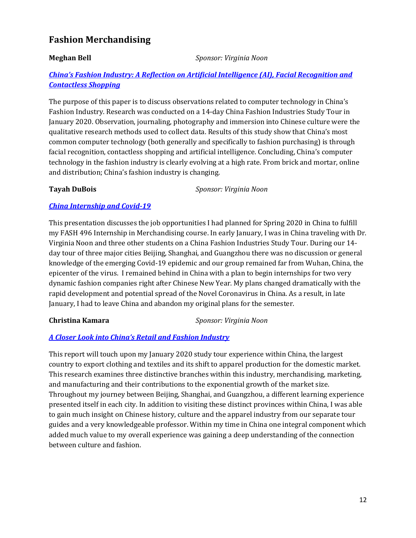## **Fashion Merchandising**

**Meghan Bell** *Sponsor: Virginia Noon*

### *[China's Fashion Industry: A Reflection on Artificial Intelligence \(AI\), Facial Recognition and](https://framingham.hosted.panopto.com/Panopto/Pages/Viewer.aspx?id=e888fed7-e5de-426f-9ec9-abb501045151)  [Contactless Shopping](https://framingham.hosted.panopto.com/Panopto/Pages/Viewer.aspx?id=e888fed7-e5de-426f-9ec9-abb501045151)*

The purpose of this paper is to discuss observations related to computer technology in China's Fashion Industry. Research was conducted on a 14-day China Fashion Industries Study Tour in January 2020. Observation, journaling, photography and immersion into Chinese culture were the qualitative research methods used to collect data. Results of this study show that China's most common computer technology (both generally and specifically to fashion purchasing) is through facial recognition, contactless shopping and artificial intelligence. Concluding, China's computer technology in the fashion industry is clearly evolving at a high rate. From brick and mortar, online and distribution; China's fashion industry is changing.

<span id="page-11-0"></span>**Tayah DuBois** *Sponsor: Virginia Noon*

### *[China Internship and Covid-19](https://framingham.hosted.panopto.com/Panopto/Pages/Viewer.aspx?id=7aedca96-07bf-4a28-9326-abb5010c386e)*

This presentation discusses the job opportunities I had planned for Spring 2020 in China to fulfill my FASH 496 Internship in Merchandising course. In early January, I was in China traveling with Dr. Virginia Noon and three other students on a China Fashion Industries Study Tour. During our 14 day tour of three major cities Beijing, Shanghai, and Guangzhou there was no discussion or general knowledge of the emerging Covid-19 epidemic and our group remained far from Wuhan, China, the epicenter of the virus. I remained behind in China with a plan to begin internships for two very dynamic fashion companies right after Chinese New Year. My plans changed dramatically with the rapid development and potential spread of the Novel Coronavirus in China. As a result, in late January, I had to leave China and abandon my original plans for the semester.

### <span id="page-11-1"></span>**Christina Kamara** *Sponsor: Virginia Noon*

### *[A Closer Look into China's Retail and Fashion Industry](https://framingham.hosted.panopto.com/Panopto/Pages/Viewer.aspx?id=34b8f1c9-24fe-4212-88a5-abb50109c1b6)*

This report will touch upon my January 2020 study tour experience within China, the largest country to export clothing and textiles and its shift to apparel production for the domestic market. This research examines three distinctive branches within this industry, merchandising, marketing, and manufacturing and their contributions to the exponential growth of the market size. Throughout my journey between Beijing, Shanghai, and Guangzhou, a different learning experience presented itself in each city. In addition to visiting these distinct provinces within China, I was able to gain much insight on Chinese history, culture and the apparel industry from our separate tour guides and a very knowledgeable professor. Within my time in China one integral component which added much value to my overall experience was gaining a deep understanding of the connection between culture and fashion.